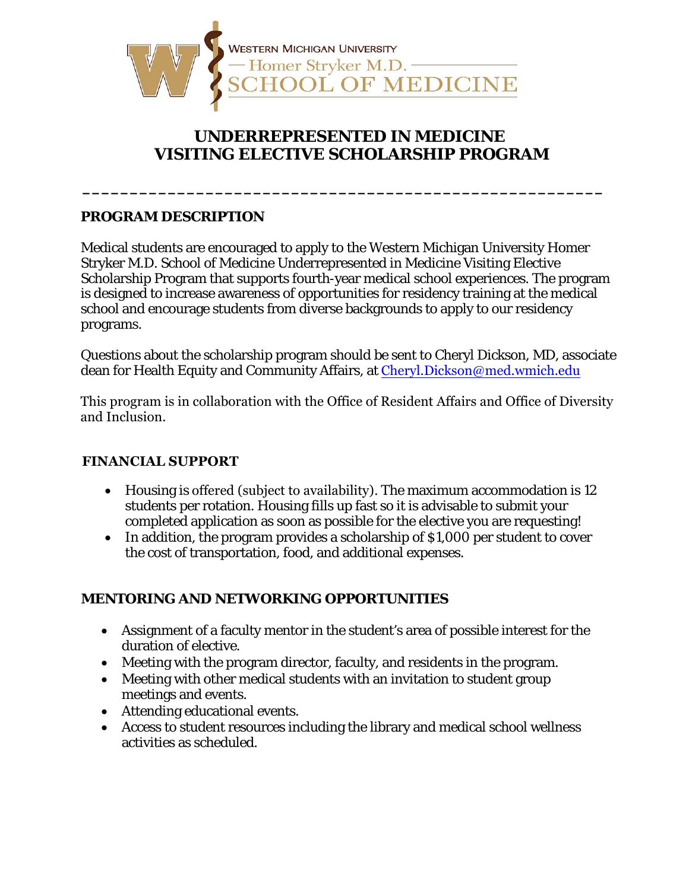

## **UNDERREPRESENTED IN MEDICINE VISITING ELECTIVE SCHOLARSHIP PROGRAM**

**\_\_\_\_\_\_\_\_\_\_\_\_\_\_\_\_\_\_\_\_\_\_\_\_\_\_\_\_\_\_\_\_\_\_\_\_\_\_\_\_\_\_\_\_\_\_\_\_\_\_\_\_\_\_\_** 

#### **PROGRAM DESCRIPTION**

Medical students are encouraged to apply to the Western Michigan University Homer Stryker M.D. School of Medicine Underrepresented in Medicine Visiting Elective Scholarship Program that supports fourth-year medical school experiences. The program is designed to increase awareness of opportunities for residency training at the medical school and encourage students from diverse backgrounds to apply to our residency programs.

Questions about the scholarship program should be sent to Cheryl Dickson, MD, associate dean for Health Equity and Community Affairs, at Cheryl. Dickson@med.wmich.edu

This program is in collaboration with the Office of Resident Affairs and Office of Diversity and Inclusion.

#### **FINANCIAL SUPPORT**

- Housing is offered (subject to availability). The maximum accommodation is 12 students per rotation. Housing fills up fast so it is advisable to submit your completed application as soon as possible for the elective you are requesting!
- In addition, the program provides a scholarship of \$1,000 per student to cover the cost of transportation, food, and additional expenses.

#### **MENTORING AND NETWORKING OPPORTUNITIES**

- Assignment of a faculty mentor in the student's area of possible interest for the duration of elective.
- Meeting with the program director, faculty, and residents in the program.
- Meeting with other medical students with an invitation to student group meetings and events.
- Attending educational events.
- Access to student resources including the library and medical school wellness activities as scheduled.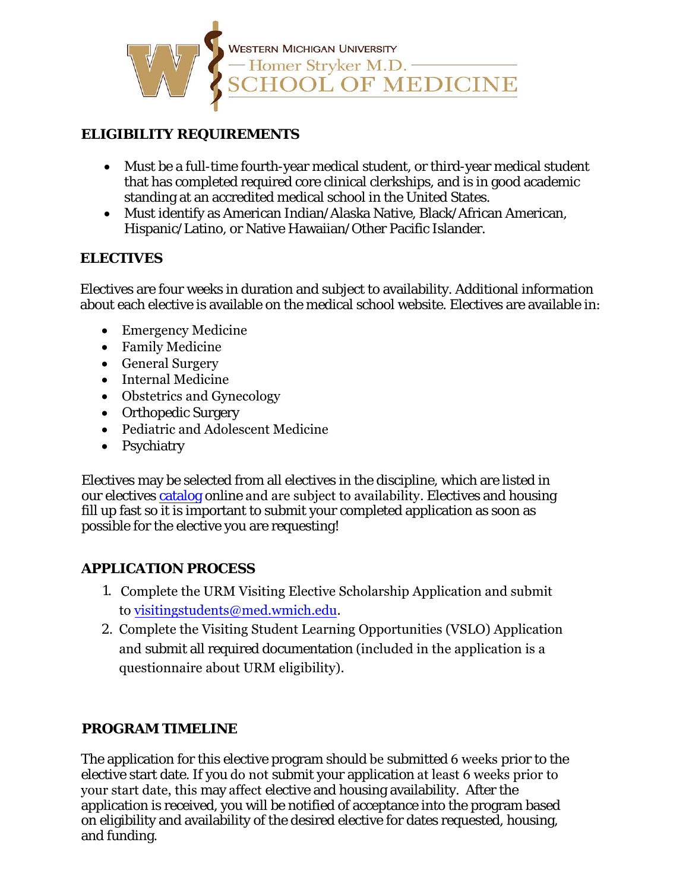

#### **ELIGIBILITY REQUIREMENTS**

- Must be a full-time fourth-year medical student, or third-year medical student that has completed required core clinical clerkships, and is in good academic standing at an accredited medical school in the United States.
- Must identify as American Indian/Alaska Native, Black/African American, Hispanic/Latino, or Native Hawaiian/Other Pacific Islander.

#### **ELECTIVES**

Electives are four weeks in duration and subject to availability. Additional information about each elective is available on the medical school website. Electives are available in:

- Emergency Medicine
- Family Medicine
- General Surgery
- Internal Medicine
- Obstetrics and Gynecology
- Orthopedic Surgery
- Pediatric and Adolescent Medicine
- Psychiatry

Electives may be selected from all electives in the discipline, which are listed in our electives [catalog](http://catalog.med.wmich.edu/node/380) online and are subject to availability. Electives and housing fill up fast so it is important to submit your completed application as soon as possible for the elective you are requesting!

### **APPLICATION PROCESS**

- 1. Complete the URM Visiting Elective Scholarship Application and submit to visitingstudents@med.wmich.edu.
- 2. Complete the Visiting Student Learning Opportunities (VSLO) Application and submit all required documentation (included in the application is a questionnaire about URM eligibility).

### **PROGRAM TIMELINE**

The application for this elective program should be submitted 6 weeks prior to the elective start date. If you do not submit your application at least 6 weeks prior to your start date, this may affect elective and housing availability. After the application is received, you will be notified of acceptance into the program based on eligibility and availability of the desired elective for dates requested, housing, and funding.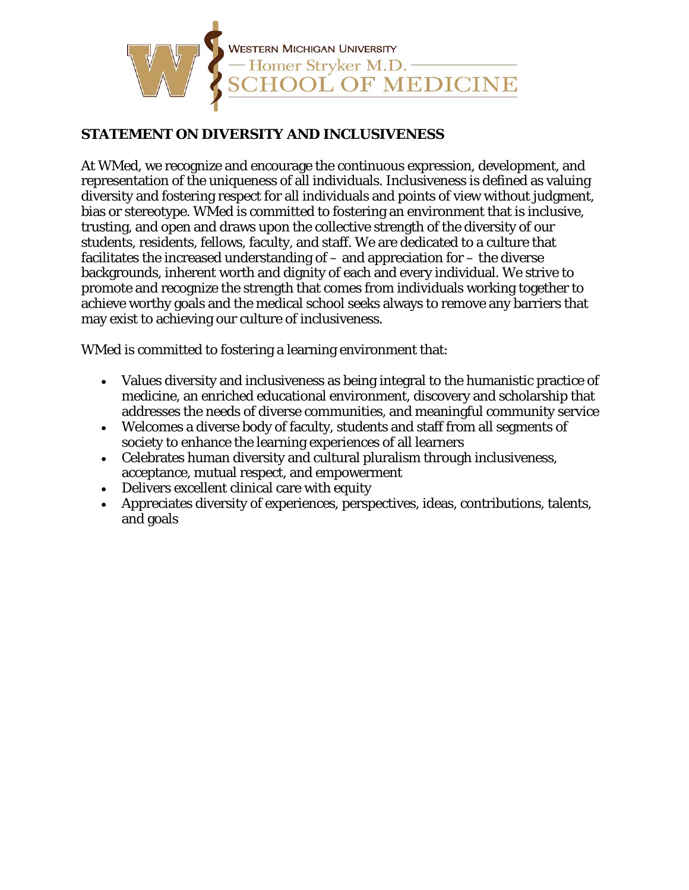

#### **STATEMENT ON DIVERSITY AND INCLUSIVENESS**

At WMed, we recognize and encourage the continuous expression, development, and representation of the uniqueness of all individuals. Inclusiveness is defined as valuing diversity and fostering respect for all individuals and points of view without judgment, bias or stereotype. WMed is committed to fostering an environment that is inclusive, trusting, and open and draws upon the collective strength of the diversity of our students, residents, fellows, faculty, and staff. We are dedicated to a culture that facilitates the increased understanding of – and appreciation for – the diverse backgrounds, inherent worth and dignity of each and every individual. We strive to promote and recognize the strength that comes from individuals working together to achieve worthy goals and the medical school seeks always to remove any barriers that may exist to achieving our culture of inclusiveness.

WMed is committed to fostering a learning environment that:

- Values diversity and inclusiveness as being integral to the humanistic practice of medicine, an enriched educational environment, discovery and scholarship that addresses the needs of diverse communities, and meaningful community service
- Welcomes a diverse body of faculty, students and staff from all segments of society to enhance the learning experiences of all learners
- Celebrates human diversity and cultural pluralism through inclusiveness, acceptance, mutual respect, and empowerment
- Delivers excellent clinical care with equity
- Appreciates diversity of experiences, perspectives, ideas, contributions, talents, and goals